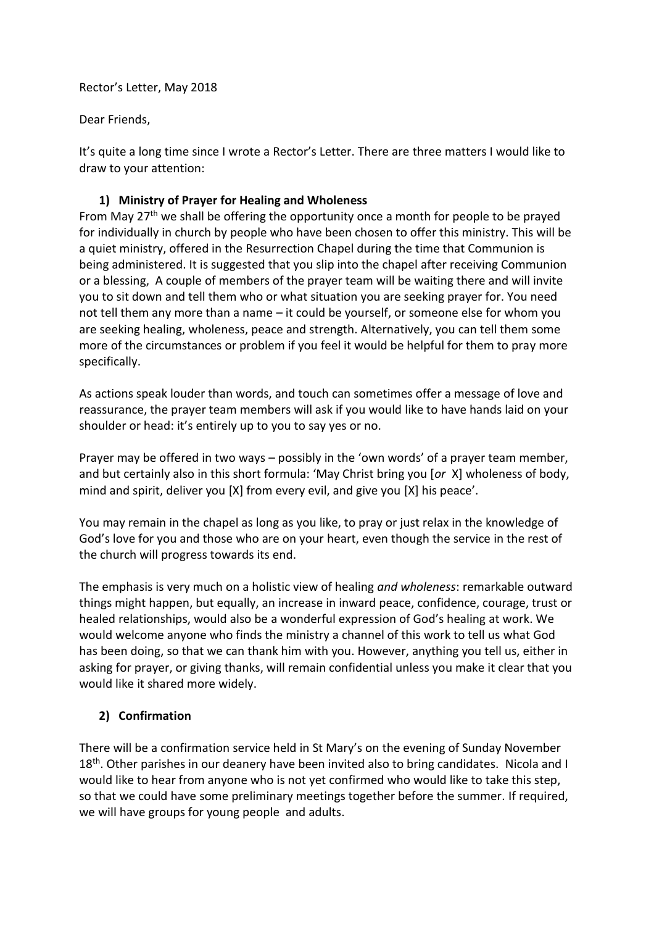Rector's Letter, May 2018

Dear Friends,

It's quite a long time since I wrote a Rector's Letter. There are three matters I would like to draw to your attention:

## **1) Ministry of Prayer for Healing and Wholeness**

From May 27<sup>th</sup> we shall be offering the opportunity once a month for people to be prayed for individually in church by people who have been chosen to offer this ministry. This will be a quiet ministry, offered in the Resurrection Chapel during the time that Communion is being administered. It is suggested that you slip into the chapel after receiving Communion or a blessing, A couple of members of the prayer team will be waiting there and will invite you to sit down and tell them who or what situation you are seeking prayer for. You need not tell them any more than a name – it could be yourself, or someone else for whom you are seeking healing, wholeness, peace and strength. Alternatively, you can tell them some more of the circumstances or problem if you feel it would be helpful for them to pray more specifically.

As actions speak louder than words, and touch can sometimes offer a message of love and reassurance, the prayer team members will ask if you would like to have hands laid on your shoulder or head: it's entirely up to you to say yes or no.

Prayer may be offered in two ways – possibly in the 'own words' of a prayer team member, and but certainly also in this short formula: 'May Christ bring you [*or* X] wholeness of body, mind and spirit, deliver you [X] from every evil, and give you [X] his peace'.

You may remain in the chapel as long as you like, to pray or just relax in the knowledge of God's love for you and those who are on your heart, even though the service in the rest of the church will progress towards its end.

The emphasis is very much on a holistic view of healing *and wholeness*: remarkable outward things might happen, but equally, an increase in inward peace, confidence, courage, trust or healed relationships, would also be a wonderful expression of God's healing at work. We would welcome anyone who finds the ministry a channel of this work to tell us what God has been doing, so that we can thank him with you. However, anything you tell us, either in asking for prayer, or giving thanks, will remain confidential unless you make it clear that you would like it shared more widely.

## **2) Confirmation**

There will be a confirmation service held in St Mary's on the evening of Sunday November 18<sup>th</sup>. Other parishes in our deanery have been invited also to bring candidates. Nicola and I would like to hear from anyone who is not yet confirmed who would like to take this step, so that we could have some preliminary meetings together before the summer. If required, we will have groups for young people and adults.